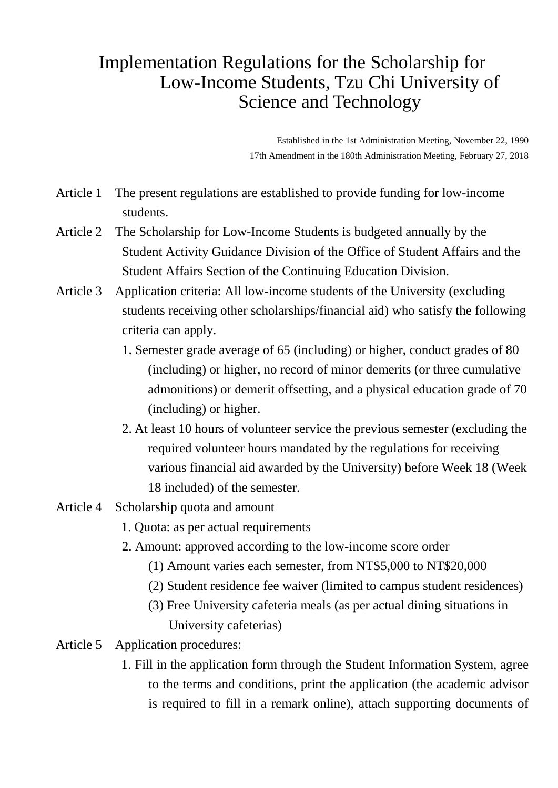## Implementation Regulations for the Scholarship for Low-Income Students, Tzu Chi University of Science and Technology

Established in the 1st Administration Meeting, November 22, 1990 17th Amendment in the 180th Administration Meeting, February 27, 2018

- Article 1 The present regulations are established to provide funding for low-income students.
- Article 2 The Scholarship for Low-Income Students is budgeted annually by the Student Activity Guidance Division of the Office of Student Affairs and the Student Affairs Section of the Continuing Education Division.
- Article 3 Application criteria: All low-income students of the University (excluding students receiving other scholarships/financial aid) who satisfy the following criteria can apply.
	- 1. Semester grade average of 65 (including) or higher, conduct grades of 80 (including) or higher, no record of minor demerits (or three cumulative admonitions) or demerit offsetting, and a physical education grade of 70 (including) or higher.
	- 2. At least 10 hours of volunteer service the previous semester (excluding the required volunteer hours mandated by the regulations for receiving various financial aid awarded by the University) before Week 18 (Week 18 included) of the semester.
- Article 4 Scholarship quota and amount
	- 1. Quota: as per actual requirements
	- 2. Amount: approved according to the low-income score order
		- (1) Amount varies each semester, from NT\$5,000 to NT\$20,000
		- (2) Student residence fee waiver (limited to campus student residences)
		- (3) Free University cafeteria meals (as per actual dining situations in University cafeterias)
- Article 5 Application procedures:
	- 1. Fill in the application form through the Student Information System, agree to the terms and conditions, print the application (the academic advisor is required to fill in a remark online), attach supporting documents of